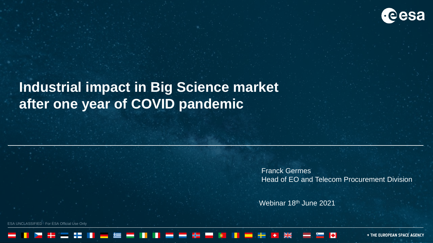

## **Industrial impact in Big Science market after one year of COVID pandemic**

Franck Germes Head of EO and Telecom Procurement Division

Webinar 18<sup>th</sup> June 2021

**JNCLASSIFIED - For ESA Official Use Only** 

**+ THE EUROPEAN SPACE AGENCY**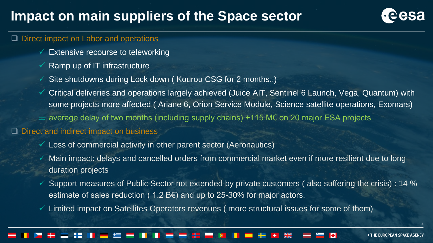## **Impact on main suppliers of the Space sector**



### ❑ Direct impact on Labor and operations

- $\checkmark$  Extensive recourse to teleworking
- $\checkmark$  Ramp up of IT infrastructure
- $\checkmark$  Site shutdowns during Lock down (Kourou CSG for 2 months..)
- ✓ Critical deliveries and operations largely achieved (Juice AIT, Sentinel 6 Launch, Vega, Quantum) with some projects more affected ( Ariane 6, Orion Service Module, Science satellite operations, Exomars)
- $\Rightarrow$  average delay of two months (including supply chains) +115 M€ on 20 major ESA projects

### ❑ Direct and indirect impact on business

- $\checkmark$  Loss of commercial activity in other parent sector (Aeronautics)
- ✓ Main impact: delays and cancelled orders from commercial market even if more resilient due to long duration projects
- Support measures of Public Sector not extended by private customers (also suffering the crisis) : 14 % estimate of sales reduction (  $1.2$  B $\epsilon$ ) and up to 25-30% for major actors.
- $\checkmark$  Limited impact on Satellites Operators revenues (more structural issues for some of them)

**+ THE EUROPEAN SPACE AGENCY** 

2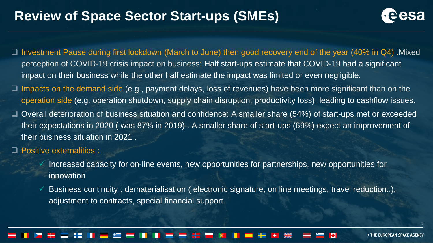## **Review of Space Sector Start-ups (SMEs)**



- ❑ Investment Pause during first lockdown (March to June) then good recovery end of the year (40% in Q4) .Mixed perception of COVID-19 crisis impact on business: Half start-ups estimate that COVID-19 had a significant impact on their business while the other half estimate the impact was limited or even negligible.
- ❑ Impacts on the demand side (e.g., payment delays, loss of revenues) have been more significant than on the operation side (e.g. operation shutdown, supply chain disruption, productivity loss), leading to cashflow issues.
- ❑ Overall deterioration of business situation and confidence: A smaller share (54%) of start-ups met or exceeded their expectations in 2020 ( was 87% in 2019) . A smaller share of start-ups (69%) expect an improvement of their business situation in 2021 .
- ❑ Positive externalities :
	- $\checkmark$  Increased capacity for on-line events, new opportunities for partnerships, new opportunities for innovation
	- Business continuity: dematerialisation ( electronic signature, on line meetings, travel reduction..), adjustment to contracts, special financial support

**+ THE EUROPEAN SPACE AGENCY** 

3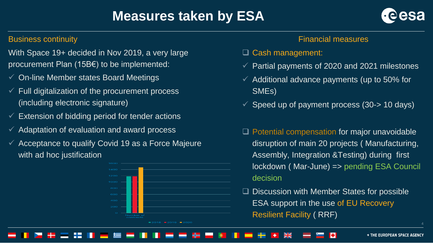# **Measures taken by ESA**



### Business continuity

With Space 19+ decided in Nov 2019, a very large procurement Plan (15B€) to be implemented:

- ✓ On-line Member states Board Meetings
- $\checkmark$  Full digitalization of the procurement process (including electronic signature)
- $\checkmark$  Extension of bidding period for tender actions
- $\checkmark$  Adaptation of evaluation and award process
- $\checkmark$  Acceptance to qualify Covid 19 as a Force Majeure with ad hoc justification



### Financial measures

- ❑ Cash management:
- Partial payments of 2020 and 2021 milestones
- $\checkmark$  Additional advance payments (up to 50% for SMEs)
- $\checkmark$  Speed up of payment process (30-> 10 days)
- ❑ Potential compensation for major unavoidable disruption of main 20 projects ( Manufacturing, Assembly, Integration &Testing) during first lockdown ( Mar-June) => pending ESA Council decision
- ❑ Discussion with Member States for possible ESA support in the use of EU Recovery Resilient Facility ( RRF)

#### **+ THE EUROPEAN SPACE AGENCY**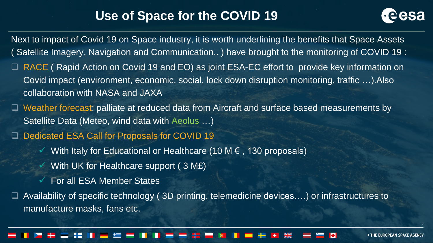### **Use of Space for the COVID 19**



Next to impact of Covid 19 on Space industry, it is worth underlining the benefits that Space Assets ( Satellite Imagery, Navigation and Communication.. ) have brought to the monitoring of COVID 19 : RACE ( Rapid Action on Covid 19 and EO) as joint ESA-EC effort to provide key information on Covid impact (environment, economic, social, lock down disruption monitoring, traffic …).Also collaboration with NASA and JAXA ❑ Weather forecast: palliate at reduced data from Aircraft and surface based measurements by Satellite Data (Meteo, wind data with Aeolus …) Dedicated ESA Call for Proposals for COVID 19 With Italy for Educational or Healthcare (10 M  $\epsilon$  , 130 proposals) With UK for Healthcare support (3 ME) ✓ For all ESA Member States ❑ Availability of specific technology ( 3D printing, telemedicine devices….) or infrastructures to manufacture masks, fans etc.

**+ THE EUROPEAN SPACE AGENCY**